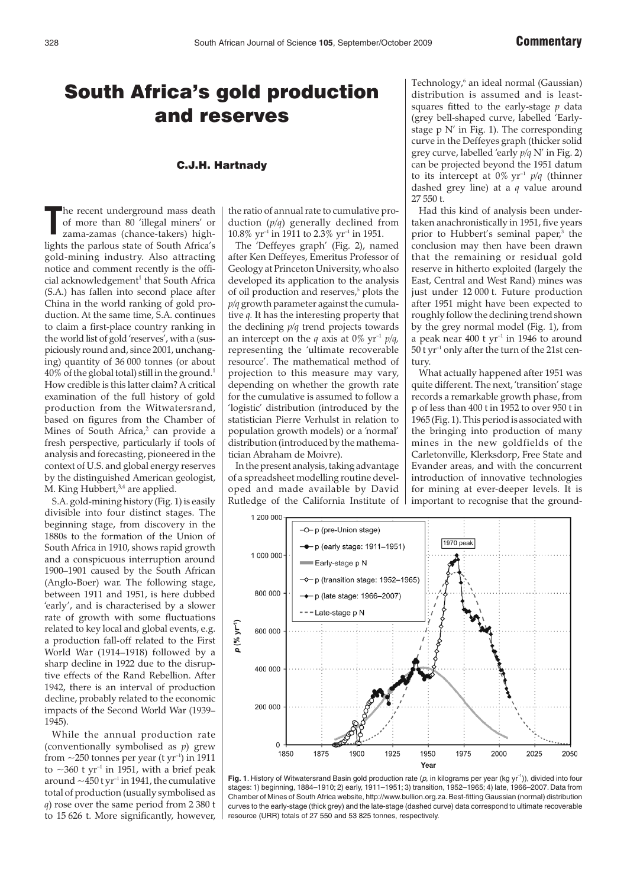## South Africa's gold production and reserves

## C.J.H. Hartnady

**T** he recent underground mass death of more than 80 'illegal miners' or zama-zamas (chance-takers) highlights the parlous state of South Africa's gold-mining industry. Also attracting notice and comment recently is the offi $c$ ial acknowledgement<sup>1</sup> that South Africa (S.A.) has fallen into second place after China in the world ranking of gold production. At the same time, S.A. continues to claim a first-place country ranking in the world list of gold 'reserves', with a (suspiciously round and, since 2001, unchanging) quantity of 36 000 tonnes (or about  $40\%$  of the global total) still in the ground.<sup>1</sup> How credible is this latter claim? A critical examination of the full history of gold production from the Witwatersrand, based on figures from the Chamber of Mines of South Africa,<sup>2</sup> can provide a fresh perspective, particularly if tools of analysis and forecasting, pioneered in the context of U.S. and global energy reserves by the distinguished American geologist, M. King Hubbert,<sup>3,4</sup> are applied.

S.A. gold-mining history (Fig. 1) is easily divisible into four distinct stages. The beginning stage, from discovery in the 1880s to the formation of the Union of South Africa in 1910, shows rapid growth and a conspicuous interruption around 1900–1901 caused by the South African (Anglo-Boer) war. The following stage, between 1911 and 1951, is here dubbed 'early', and is characterised by a slower rate of growth with some fluctuations related to key local and global events, e.g. a production fall-off related to the First World War (1914–1918) followed by a sharp decline in 1922 due to the disruptive effects of the Rand Rebellion. After 1942, there is an interval of production decline, probably related to the economic impacts of the Second World War (1939– 1945).

While the annual production rate (conventionally symbolised as *p*) grew from  $\sim$ 250 tonnes per year (t yr<sup>-1</sup>) in 1911 to  $\sim$ 360 t yr<sup>-1</sup> in 1951, with a brief peak around  $\sim$  450 t yr<sup>-1</sup> in 1941, the cumulative total of production (usually symbolised as *q*) rose over the same period from 2 380 t to 15 626 t. More significantly, however, the ratio of annual rate to cumulative production (*p*/*q*) generally declined from 10.8%  $yr^{-1}$  in 1911 to 2.3%  $yr^{-1}$  in 1951.

The 'Deffeyes graph' (Fig. 2), named after Ken Deffeyes, Emeritus Professor of Geology at Princeton University, who also developed its application to the analysis of oil production and reserves,<sup>5</sup> plots the *p*/*q* growth parameter against the cumulative *q.* It has the interesting property that the declining *p*/*q* trend projects towards an intercept on the *q* axis at  $0\%$  yr<sup>-1</sup> *p*/*q*, representing the 'ultimate recoverable resource'. The mathematical method of projection to this measure may vary, depending on whether the growth rate for the cumulative is assumed to follow a 'logistic' distribution (introduced by the statistician Pierre Verhulst in relation to population growth models) or a 'normal' distribution (introduced by the mathematician Abraham de Moivre).

In the present analysis, taking advantage of a spreadsheet modelling routine developed and made available by David Rutledge of the California Institute of Technology,<sup>6</sup> an ideal normal (Gaussian) distribution is assumed and is leastsquares fitted to the early-stage *p* data (grey bell-shaped curve, labelled 'Earlystage  $p$  N' in Fig. 1). The corresponding curve in the Deffeyes graph (thicker solid grey curve, labelled 'early *p*/*q* N' in Fig. 2) can be projected beyond the 1951 datum to its intercept at  $0\%$  yr<sup>-1</sup>  $p/q$  (thinner dashed grey line) at a *q* value around 27 550 t.

Had this kind of analysis been undertaken anachronistically in 1951, five years prior to Hubbert's seminal paper,<sup>3</sup> the conclusion may then have been drawn that the remaining or residual gold reserve in hitherto exploited (largely the East, Central and West Rand) mines was just under 12 000 t. Future production after 1951 might have been expected to roughly follow the declining trend shown by the grey normal model (Fig. 1), from a peak near  $400$  t yr<sup>-1</sup> in 1946 to around 50 t yr–1 only after the turn of the 21st century.

What actually happened after 1951 was quite different. The next, 'transition' stage records a remarkable growth phase, from p of less than 400 t in 1952 to over 950 t in 1965 (Fig. 1). This period is associated with the bringing into production of many mines in the new goldfields of the Carletonville, Klerksdorp, Free State and Evander areas, and with the concurrent introduction of innovative technologies for mining at ever-deeper levels. It is important to recognise that the ground-



Fig. 1. History of Witwatersrand Basin gold production rate (p, in kilograms per year (kg yr<sup>-1</sup>)), divided into four stages: 1) beginning, 1884–1910; 2) early, 1911–1951; 3) transition, 1952–1965; 4) late, 1966–2007. Data from Chamber of Mines of South Africa website, http://www.bullion.org.za.Best-fitting Gaussian (normal) distribution curves to the early-stage (thick grey) and the late-stage (dashed curve) data correspond to ultimate recoverable resource (URR) totals of 27 550 and 53 825 tonnes, respectively.